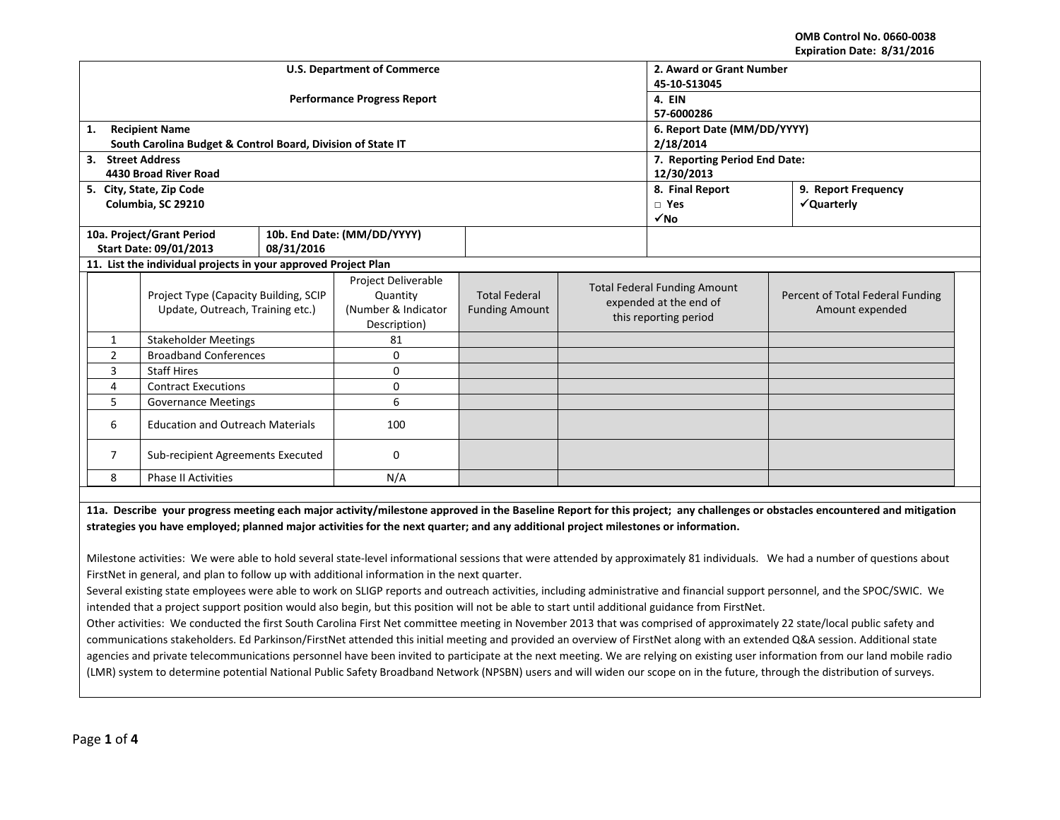**OMB Control No. 0660‐0038 Expiration Date: 8/31/2016**

|                                                                |                                                             |                                    |                                                                                                                                                                                                                                   |                       |  |                                                                                                                                  | LAPITALIUII DALC. 0/JI/LUIU                                                                                                                                                                                                       |  |  |
|----------------------------------------------------------------|-------------------------------------------------------------|------------------------------------|-----------------------------------------------------------------------------------------------------------------------------------------------------------------------------------------------------------------------------------|-----------------------|--|----------------------------------------------------------------------------------------------------------------------------------|-----------------------------------------------------------------------------------------------------------------------------------------------------------------------------------------------------------------------------------|--|--|
|                                                                |                                                             | <b>U.S. Department of Commerce</b> | 2. Award or Grant Number                                                                                                                                                                                                          |                       |  |                                                                                                                                  |                                                                                                                                                                                                                                   |  |  |
|                                                                |                                                             |                                    | 45-10-S13045                                                                                                                                                                                                                      |                       |  |                                                                                                                                  |                                                                                                                                                                                                                                   |  |  |
|                                                                |                                                             | <b>Performance Progress Report</b> | 4. EIN                                                                                                                                                                                                                            |                       |  |                                                                                                                                  |                                                                                                                                                                                                                                   |  |  |
|                                                                |                                                             |                                    | 57-6000286                                                                                                                                                                                                                        |                       |  |                                                                                                                                  |                                                                                                                                                                                                                                   |  |  |
| 1.                                                             | <b>Recipient Name</b>                                       |                                    | 6. Report Date (MM/DD/YYYY)                                                                                                                                                                                                       |                       |  |                                                                                                                                  |                                                                                                                                                                                                                                   |  |  |
|                                                                | South Carolina Budget & Control Board, Division of State IT |                                    | 2/18/2014                                                                                                                                                                                                                         |                       |  |                                                                                                                                  |                                                                                                                                                                                                                                   |  |  |
| 3. Street Address                                              |                                                             |                                    | 7. Reporting Period End Date:                                                                                                                                                                                                     |                       |  |                                                                                                                                  |                                                                                                                                                                                                                                   |  |  |
|                                                                | 4430 Broad River Road                                       |                                    |                                                                                                                                                                                                                                   |                       |  | 12/30/2013                                                                                                                       |                                                                                                                                                                                                                                   |  |  |
|                                                                | 5. City, State, Zip Code                                    |                                    |                                                                                                                                                                                                                                   |                       |  | 8. Final Report                                                                                                                  | 9. Report Frequency                                                                                                                                                                                                               |  |  |
|                                                                | Columbia, SC 29210                                          |                                    |                                                                                                                                                                                                                                   |                       |  | $\square$ Yes                                                                                                                    | √Quarterly                                                                                                                                                                                                                        |  |  |
|                                                                |                                                             |                                    |                                                                                                                                                                                                                                   |                       |  | √No                                                                                                                              |                                                                                                                                                                                                                                   |  |  |
|                                                                | 10a. Project/Grant Period                                   |                                    | 10b. End Date: (MM/DD/YYYY)                                                                                                                                                                                                       |                       |  |                                                                                                                                  |                                                                                                                                                                                                                                   |  |  |
|                                                                | <b>Start Date: 09/01/2013</b>                               | 08/31/2016                         |                                                                                                                                                                                                                                   |                       |  |                                                                                                                                  |                                                                                                                                                                                                                                   |  |  |
| 11. List the individual projects in your approved Project Plan |                                                             |                                    |                                                                                                                                                                                                                                   |                       |  |                                                                                                                                  |                                                                                                                                                                                                                                   |  |  |
|                                                                |                                                             |                                    | Project Deliverable                                                                                                                                                                                                               |                       |  | <b>Total Federal Funding Amount</b>                                                                                              |                                                                                                                                                                                                                                   |  |  |
|                                                                | Project Type (Capacity Building, SCIP                       |                                    | Quantity                                                                                                                                                                                                                          | <b>Total Federal</b>  |  | expended at the end of                                                                                                           | Percent of Total Federal Funding                                                                                                                                                                                                  |  |  |
|                                                                | Update, Outreach, Training etc.)                            |                                    | (Number & Indicator                                                                                                                                                                                                               | <b>Funding Amount</b> |  | this reporting period                                                                                                            | Amount expended                                                                                                                                                                                                                   |  |  |
|                                                                |                                                             |                                    | Description)                                                                                                                                                                                                                      |                       |  |                                                                                                                                  |                                                                                                                                                                                                                                   |  |  |
| $\mathbf{1}$                                                   | <b>Stakeholder Meetings</b>                                 |                                    | 81                                                                                                                                                                                                                                |                       |  |                                                                                                                                  |                                                                                                                                                                                                                                   |  |  |
| $\overline{2}$                                                 | <b>Broadband Conferences</b>                                |                                    | 0                                                                                                                                                                                                                                 |                       |  |                                                                                                                                  |                                                                                                                                                                                                                                   |  |  |
| 3                                                              | <b>Staff Hires</b>                                          |                                    | 0                                                                                                                                                                                                                                 |                       |  |                                                                                                                                  |                                                                                                                                                                                                                                   |  |  |
| 4                                                              | <b>Contract Executions</b>                                  |                                    | 0                                                                                                                                                                                                                                 |                       |  |                                                                                                                                  |                                                                                                                                                                                                                                   |  |  |
| 5                                                              | <b>Governance Meetings</b>                                  |                                    | 6                                                                                                                                                                                                                                 |                       |  |                                                                                                                                  |                                                                                                                                                                                                                                   |  |  |
| <b>Education and Outreach Materials</b><br>6                   |                                                             | 100                                |                                                                                                                                                                                                                                   |                       |  |                                                                                                                                  |                                                                                                                                                                                                                                   |  |  |
| $\overline{7}$<br>Sub-recipient Agreements Executed            |                                                             | $\mathbf 0$                        |                                                                                                                                                                                                                                   |                       |  |                                                                                                                                  |                                                                                                                                                                                                                                   |  |  |
| N/A<br>8<br><b>Phase II Activities</b>                         |                                                             |                                    |                                                                                                                                                                                                                                   |                       |  |                                                                                                                                  |                                                                                                                                                                                                                                   |  |  |
|                                                                |                                                             |                                    |                                                                                                                                                                                                                                   |                       |  |                                                                                                                                  |                                                                                                                                                                                                                                   |  |  |
| .                                                              |                                                             |                                    | $\mathbf{r}$ . The contract of the contract of the contract of the contract of the contract of the contract of the contract of the contract of the contract of the contract of the contract of the contract of the contract of th |                       |  | $\mathbf{r}$ and $\mathbf{r}$ are the set of $\mathbf{r}$ . The set of $\mathbf{r}$ and $\mathbf{r}$ are the set of $\mathbf{r}$ | $\mathbf{r}$ . The contract of the contract of the contract of the contract of the contract of the contract of the contract of the contract of the contract of the contract of the contract of the contract of the contract of th |  |  |

11a. Describe your progress meeting each major activity/milestone approved in the Baseline Report for this project; any challenges or obstacles encountered and mitigation strategies you have employed; planned major activities for the next quarter; and any additional project milestones or information.

Milestone activities: We were able to hold several state‐level informational sessions that were attended by approximately 81 individuals. We had <sup>a</sup> number of questions about FirstNet in general, and plan to follow up with additional information in the next quarter.

Several existing state employees were able to work on SLIGP reports and outreach activities, including administrative and financial support personnel, and the SPOC/SWIC. We intended that <sup>a</sup> project support position would also begin, but this position will not be able to start until additional guidance from FirstNet.

Other activities: We conducted the first South Carolina First Net committee meeting in November 2013 that was comprised of approximately 22 state/local public safety and communications stakeholders. Ed Parkinson/FirstNet attended this initial meeting and provided an overview of FirstNet along with an extended Q&A session. Additional state agencies and private telecommunications personnel have been invited to participate at the next meeting. We are relying on existing user information from our land mobile radio (LMR) system to determine potential National Public Safety Broadband Network (NPSBN) users and will widen our scope on in the future, through the distribution of surveys.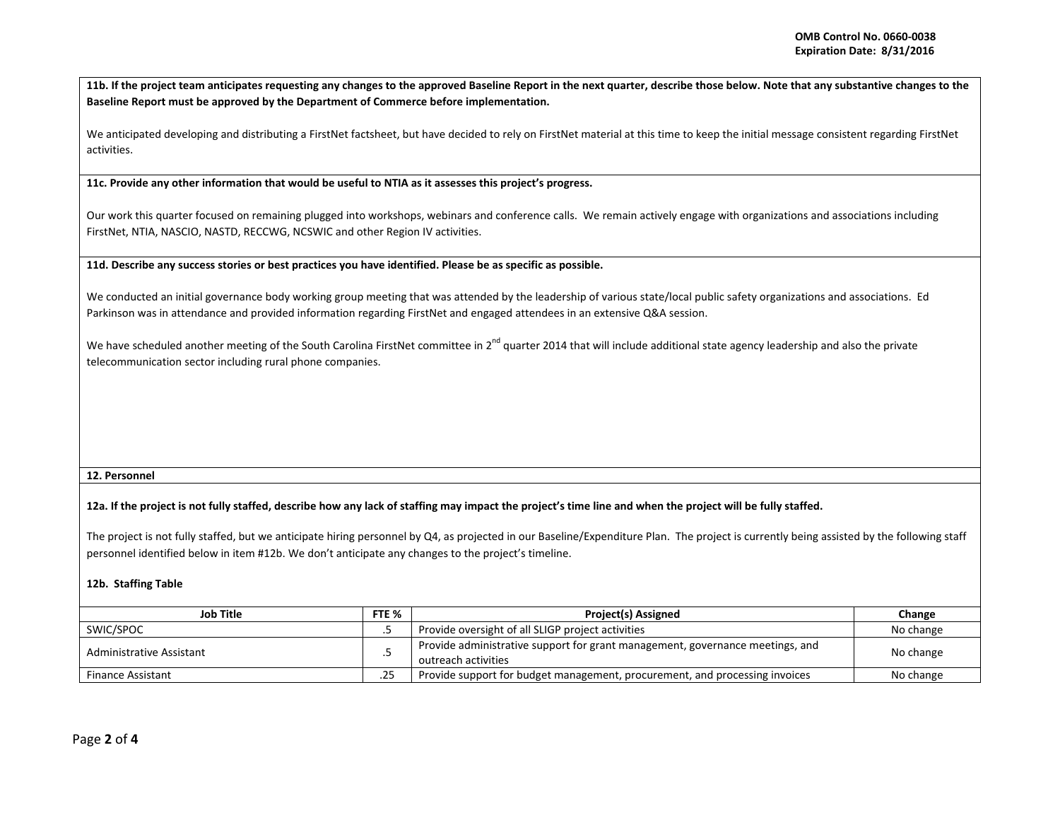11b. If the project team anticipates requesting any changes to the approved Baseline Report in the next quarter, describe those below. Note that any substantive changes to the **Baseline Report must be approved by the Department of Commerce before implementation.**

We anticipated developing and distributing <sup>a</sup> FirstNet factsheet, but have decided to rely on FirstNet material at this time to keep the initial message consistent regarding FirstNet activities.

**11c. Provide any other information that would be useful to NTIA as it assesses this project's progress.**

Our work this quarter focused on remaining plugged into workshops, webinars and conference calls. We remain actively engage with organizations and associations including FirstNet, NTIA, NASCIO, NASTD, RECCWG, NCSWIC and other Region IV activities.

11d. Describe any success stories or best practices you have identified. Please be as specific as possible.

We conducted an initial governance body working group meeting that was attended by the leadership of various state/local public safety organizations and associations. Ed Parkinson was in attendance and provided information regarding FirstNet and engaged attendees in an extensive Q&A session.

We have scheduled another meeting of the South Carolina FirstNet committee in 2<sup>nd</sup> quarter 2014 that will include additional state agency leadership and also the private telecommunication sector including rural phone companies.

## **12. Personnel**

## 12a. If the project is not fully staffed, describe how any lack of staffing may impact the project's time line and when the project will be fully staffed.

The project is not fully staffed, but we anticipate hiring personnel by Q4, as projected in our Baseline/Expenditure Plan. The project is currently being assisted by the following staff personnel identified below in item #12b. We don't anticipate any changes to the project's timeline.

## **12b. Staffing Table**

| Job Title                |             | <b>Project(s) Assigned</b>                                                                           | Change    |
|--------------------------|-------------|------------------------------------------------------------------------------------------------------|-----------|
| SWIC/SPOC                |             | Provide oversight of all SLIGP project activities                                                    | No change |
| Administrative Assistant |             | Provide administrative support for grant management, governance meetings, and<br>outreach activities | No change |
| <b>Finance Assistant</b> | つに<br>ر ے . | Provide support for budget management, procurement, and processing invoices                          | No change |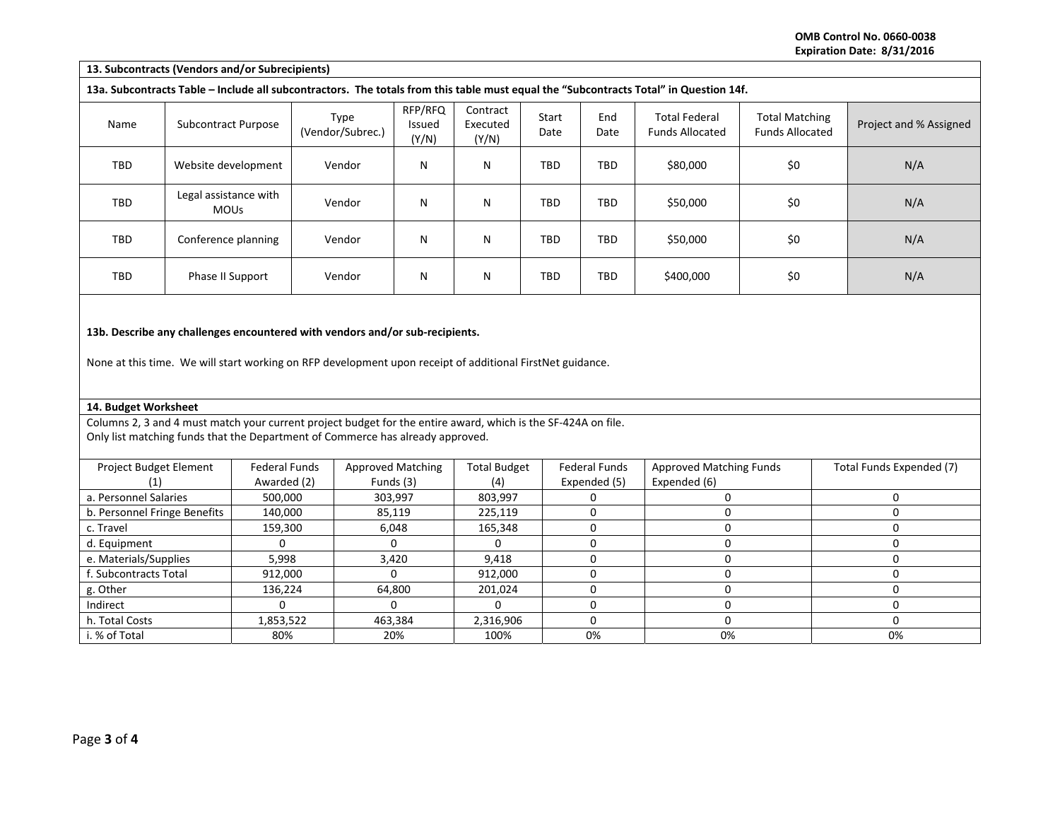**OMB Control No. 0660‐0038 Expiration Date: 8/31/2016**

| 13. Subcontracts (Vendors and/or Subrecipients)                                                           |                                      |                                     |                                                                                                                                                                                                 |                                       |                               |               |                                      |                                                                                                                                       |                                                 |             |                          |  |
|-----------------------------------------------------------------------------------------------------------|--------------------------------------|-------------------------------------|-------------------------------------------------------------------------------------------------------------------------------------------------------------------------------------------------|---------------------------------------|-------------------------------|---------------|--------------------------------------|---------------------------------------------------------------------------------------------------------------------------------------|-------------------------------------------------|-------------|--------------------------|--|
|                                                                                                           |                                      |                                     |                                                                                                                                                                                                 |                                       |                               |               |                                      | 13a. Subcontracts Table - Include all subcontractors. The totals from this table must equal the "Subcontracts Total" in Question 14f. |                                                 |             |                          |  |
| Name                                                                                                      | Subcontract Purpose                  |                                     | Type<br>(Vendor/Subrec.)                                                                                                                                                                        | RFP/RFQ<br>Issued<br>(Y/N)            | Contract<br>Executed<br>(Y/N) | Start<br>Date | End<br>Date                          | <b>Total Federal</b><br><b>Funds Allocated</b>                                                                                        | <b>Total Matching</b><br><b>Funds Allocated</b> |             | Project and % Assigned   |  |
| <b>TBD</b>                                                                                                | Website development                  |                                     | Vendor                                                                                                                                                                                          | N                                     | N                             | TBD           | <b>TBD</b>                           | \$80,000                                                                                                                              | \$0                                             |             | N/A                      |  |
| TBD                                                                                                       | Legal assistance with<br><b>MOUs</b> |                                     | Vendor                                                                                                                                                                                          | N                                     | N                             | TBD           | TBD                                  | \$50,000                                                                                                                              | \$0                                             |             | N/A                      |  |
| TBD                                                                                                       | Conference planning                  |                                     | Vendor                                                                                                                                                                                          | N                                     | N                             | <b>TBD</b>    | <b>TBD</b>                           | \$50,000                                                                                                                              | \$0                                             |             | N/A                      |  |
| TBD                                                                                                       | Phase II Support                     |                                     | Vendor                                                                                                                                                                                          | $\mathsf{N}$                          | N                             | TBD           | <b>TBD</b>                           | \$400,000                                                                                                                             | \$0                                             |             | N/A                      |  |
| None at this time. We will start working on RFP development upon receipt of additional FirstNet guidance. |                                      |                                     |                                                                                                                                                                                                 |                                       |                               |               |                                      |                                                                                                                                       |                                                 |             |                          |  |
| 14. Budget Worksheet                                                                                      |                                      |                                     |                                                                                                                                                                                                 |                                       |                               |               |                                      |                                                                                                                                       |                                                 |             |                          |  |
|                                                                                                           |                                      |                                     | Columns 2, 3 and 4 must match your current project budget for the entire award, which is the SF-424A on file.<br>Only list matching funds that the Department of Commerce has already approved. |                                       |                               |               |                                      |                                                                                                                                       |                                                 |             |                          |  |
| Project Budget Element<br>(1)                                                                             |                                      | <b>Federal Funds</b><br>Awarded (2) |                                                                                                                                                                                                 | <b>Approved Matching</b><br>Funds (3) | <b>Total Budget</b><br>(4)    |               | <b>Federal Funds</b><br>Expended (5) | Expended (6)                                                                                                                          | <b>Approved Matching Funds</b>                  |             | Total Funds Expended (7) |  |
| a. Personnel Salaries                                                                                     |                                      | 500,000                             |                                                                                                                                                                                                 | 303,997                               | 803,997                       |               | 0                                    | $\mathbf 0$                                                                                                                           |                                                 | $\mathbf 0$ |                          |  |
| b. Personnel Fringe Benefits                                                                              |                                      | 140,000                             |                                                                                                                                                                                                 | 85,119                                | 225,119                       |               | 0                                    | 0                                                                                                                                     |                                                 | $\mathbf 0$ |                          |  |
| c. Travel                                                                                                 |                                      | 159,300                             |                                                                                                                                                                                                 | 6,048                                 | 165,348                       |               | 0                                    | $\mathbf 0$                                                                                                                           |                                                 |             | $\Omega$                 |  |
| d. Equipment                                                                                              |                                      | 0                                   |                                                                                                                                                                                                 | $\Omega$                              | 0                             |               | $\mathbf 0$                          | $\mathbf 0$                                                                                                                           |                                                 | $\mathbf 0$ |                          |  |
| e. Materials/Supplies                                                                                     |                                      | 5,998                               |                                                                                                                                                                                                 | 3,420                                 |                               |               | 0                                    | $\pmb{0}$                                                                                                                             |                                                 | $\mathbf 0$ |                          |  |
| f. Subcontracts Total                                                                                     |                                      | 912,000                             |                                                                                                                                                                                                 | $\Omega$                              |                               |               | 0                                    | $\mathbf 0$                                                                                                                           |                                                 | $\mathbf 0$ |                          |  |
| g. Other                                                                                                  |                                      | 136,224                             |                                                                                                                                                                                                 | 64,800                                |                               |               | 0                                    | $\mathbf 0$                                                                                                                           |                                                 | $\mathbf 0$ |                          |  |
| Indirect                                                                                                  |                                      | $\Omega$                            |                                                                                                                                                                                                 | $\Omega$                              |                               |               | 0                                    | $\mathbf 0$                                                                                                                           |                                                 | $\Omega$    |                          |  |
| h. Total Costs                                                                                            |                                      | 1,853,522                           |                                                                                                                                                                                                 | 463,384                               |                               |               | 0                                    | $\mathbf 0$                                                                                                                           |                                                 |             | $\mathbf 0$              |  |
| i. % of Total                                                                                             |                                      | 80%                                 |                                                                                                                                                                                                 | 20%                                   | 100%                          |               | 0%                                   | 0%                                                                                                                                    |                                                 | 0%          |                          |  |